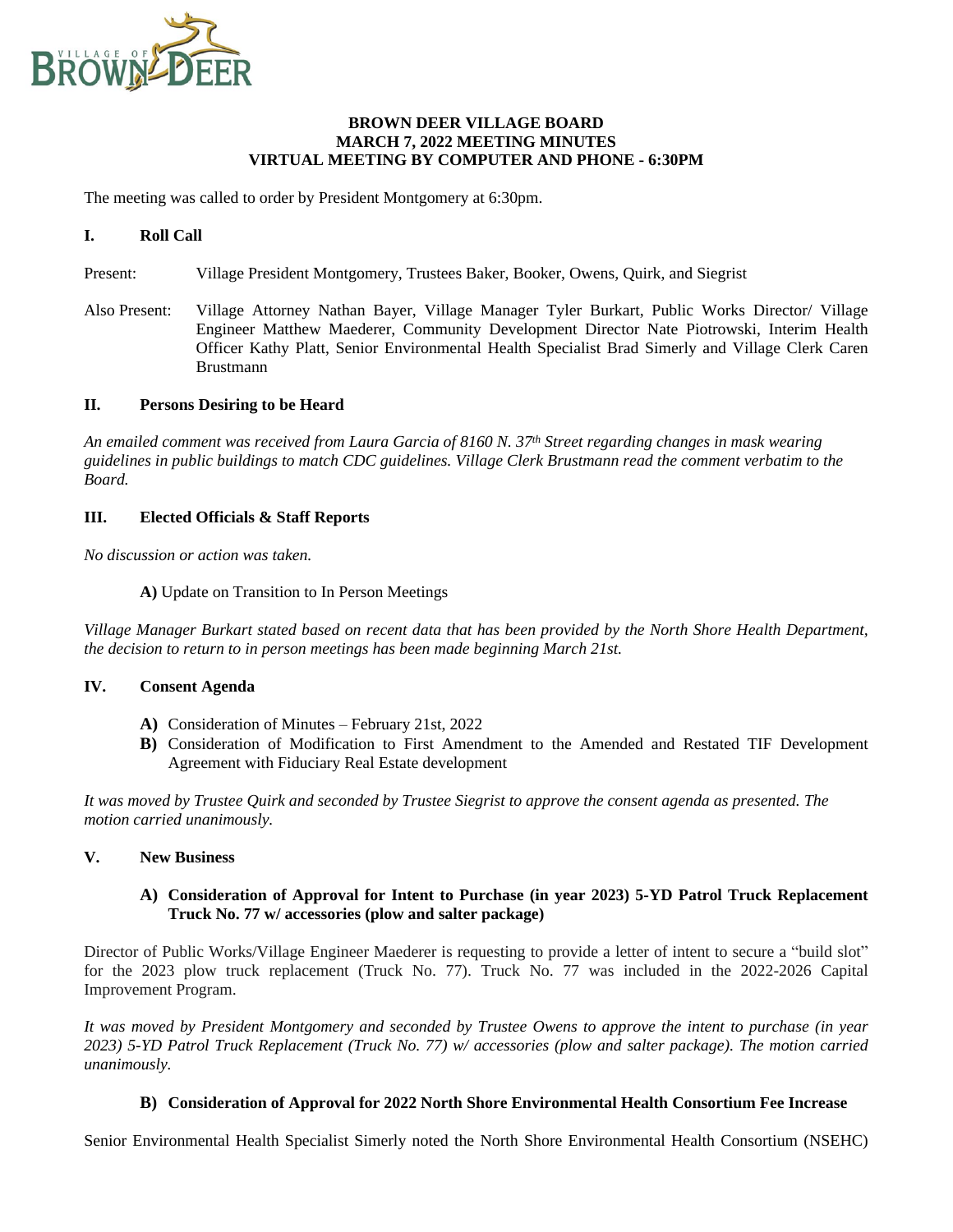

### **BROWN DEER VILLAGE BOARD MARCH 7, 2022 MEETING MINUTES VIRTUAL MEETING BY COMPUTER AND PHONE - 6:30PM**

The meeting was called to order by President Montgomery at 6:30pm.

## **I. Roll Call**

Present: Village President Montgomery, Trustees Baker, Booker, Owens, Quirk, and Siegrist

Also Present: Village Attorney Nathan Bayer, Village Manager Tyler Burkart, Public Works Director/ Village Engineer Matthew Maederer, Community Development Director Nate Piotrowski, Interim Health Officer Kathy Platt, Senior Environmental Health Specialist Brad Simerly and Village Clerk Caren Brustmann

### **II. Persons Desiring to be Heard**

*An emailed comment was received from Laura Garcia of 8160 N. 37th Street regarding changes in mask wearing guidelines in public buildings to match CDC guidelines. Village Clerk Brustmann read the comment verbatim to the Board.*

#### **III. Elected Officials & Staff Reports**

*No discussion or action was taken.*

**A)** Update on Transition to In Person Meetings

Village Manager Burkart stated based on recent data that has been provided by the North Shore Health Department, *the decision to return to in person meetings has been made beginning March 21st.*

### **IV. Consent Agenda**

- **A)** Consideration of Minutes February 21st, 2022
- **B)** Consideration of Modification to First Amendment to the Amended and Restated TIF Development Agreement with Fiduciary Real Estate development

*It was moved by Trustee Quirk and seconded by Trustee Siegrist to approve the consent agenda as presented. The motion carried unanimously.*

## **V. New Business**

**A) Consideration of Approval for Intent to Purchase (in year 2023) 5-YD Patrol Truck Replacement Truck No. 77 w/ accessories (plow and salter package)**

Director of Public Works/Village Engineer Maederer is requesting to provide a letter of intent to secure a "build slot" for the 2023 plow truck replacement (Truck No. 77). Truck No. 77 was included in the 2022-2026 Capital Improvement Program.

It was moved by President Montgomery and seconded by Trustee Owens to approve the intent to purchase (in year 2023) 5-YD Patrol Truck Replacement (Truck No. 77) w/ accessories (plow and salter package). The motion carried *unanimously.*

## **B) Consideration of Approval for 2022 North Shore Environmental Health Consortium Fee Increase**

Senior Environmental Health Specialist Simerly noted the North Shore Environmental Health Consortium (NSEHC)